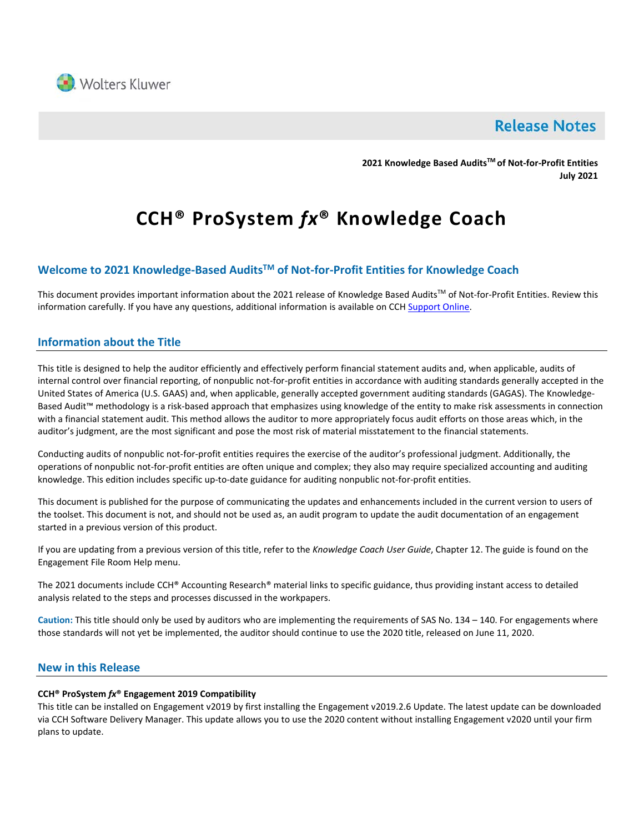

# **Release Notes**

**2021 Knowledge Based AuditsTM of Not-for-Profit Entities July 2021**

# **CCH® ProSystem** *fx***® Knowledge Coach**

# **Welcome to 2021 Knowledge-Based AuditsTM of Not-for-Profit Entities for Knowledge Coach**

This document provides important information about the 2021 release of Knowledge Based Audits™ of Not-for-Profit Entities. Review this information carefully. If you have any questions, additional information is available on CC[H Support Online.](http://support.cch.com/productsupport/)

# **Information about the Title**

This title is designed to help the auditor efficiently and effectively perform financial statement audits and, when applicable, audits of internal control over financial reporting, of nonpublic not-for-profit entities in accordance with auditing standards generally accepted in the United States of America (U.S. GAAS) and, when applicable, generally accepted government auditing standards (GAGAS). The Knowledge-Based Audit™ methodology is a risk-based approach that emphasizes using knowledge of the entity to make risk assessments in connection with a financial statement audit. This method allows the auditor to more appropriately focus audit efforts on those areas which, in the auditor's judgment, are the most significant and pose the most risk of material misstatement to the financial statements.

Conducting audits of nonpublic not-for-profit entities requires the exercise of the auditor's professional judgment. Additionally, the operations of nonpublic not-for-profit entities are often unique and complex; they also may require specialized accounting and auditing knowledge. This edition includes specific up-to-date guidance for auditing nonpublic not-for-profit entities.

This document is published for the purpose of communicating the updates and enhancements included in the current version to users of the toolset. This document is not, and should not be used as, an audit program to update the audit documentation of an engagement started in a previous version of this product.

If you are updating from a previous version of this title, refer to the *Knowledge Coach User Guide*, Chapter 12. The guide is found on the Engagement File Room Help menu.

The 2021 documents include CCH® Accounting Research® material links to specific guidance, thus providing instant access to detailed analysis related to the steps and processes discussed in the workpapers.

**Caution:** This title should only be used by auditors who are implementing the requirements of SAS No. 134 – 140. For engagements where those standards will not yet be implemented, the auditor should continue to use the 2020 title, released on June 11, 2020.

### **New in this Release**

#### **CCH® ProSystem** *fx***® Engagement 2019 Compatibility**

This title can be installed on Engagement v2019 by first installing the Engagement v2019.2.6 Update. The latest update can be downloaded via CCH Software Delivery Manager. This update allows you to use the 2020 content without installing Engagement v2020 until your firm plans to update.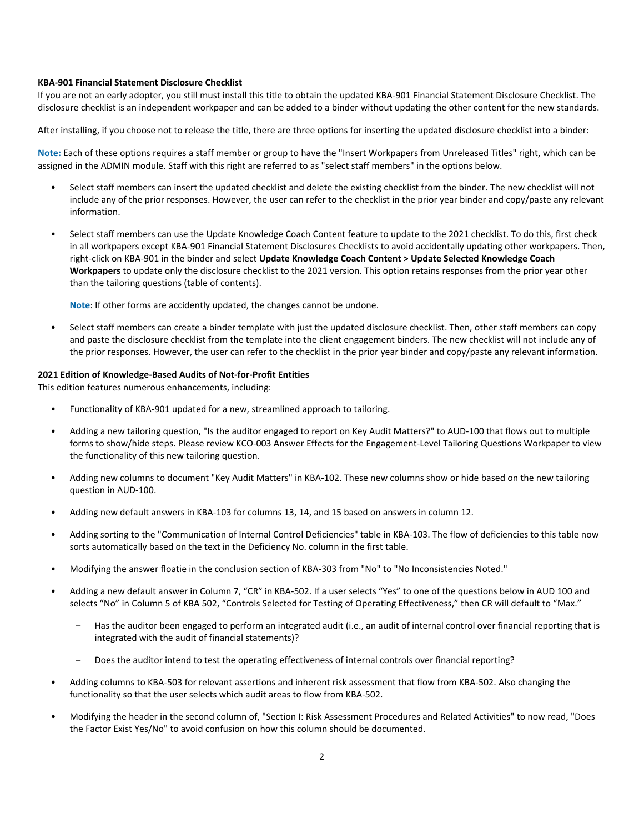#### **KBA-901 Financial Statement Disclosure Checklist**

If you are not an early adopter, you still must install this title to obtain the updated KBA-901 Financial Statement Disclosure Checklist. The disclosure checklist is an independent workpaper and can be added to a binder without updating the other content for the new standards.

After installing, if you choose not to release the title, there are three options for inserting the updated disclosure checklist into a binder:

**Note:** Each of these options requires a staff member or group to have the "Insert Workpapers from Unreleased Titles" right, which can be assigned in the ADMIN module. Staff with this right are referred to as "select staff members" in the options below.

- Select staff members can insert the updated checklist and delete the existing checklist from the binder. The new checklist will not include any of the prior responses. However, the user can refer to the checklist in the prior year binder and copy/paste any relevant information.
- Select staff members can use the Update Knowledge Coach Content feature to update to the 2021 checklist. To do this, first check in all workpapers except KBA-901 Financial Statement Disclosures Checklists to avoid accidentally updating other workpapers. Then, right-click on KBA-901 in the binder and select **Update Knowledge Coach Content > Update Selected Knowledge Coach Workpapers** to update only the disclosure checklist to the 2021 version. This option retains responses from the prior year other than the tailoring questions (table of contents).

**Note**: If other forms are accidently updated, the changes cannot be undone.

• Select staff members can create a binder template with just the updated disclosure checklist. Then, other staff members can copy and paste the disclosure checklist from the template into the client engagement binders. The new checklist will not include any of the prior responses. However, the user can refer to the checklist in the prior year binder and copy/paste any relevant information.

#### **2021 Edition of Knowledge-Based Audits of Not-for-Profit Entities**

This edition features numerous enhancements, including:

- Functionality of KBA-901 updated for a new, streamlined approach to tailoring.
- Adding a new tailoring question, "Is the auditor engaged to report on Key Audit Matters?" to AUD-100 that flows out to multiple forms to show/hide steps. Please review KCO-003 Answer Effects for the Engagement-Level Tailoring Questions Workpaper to view the functionality of this new tailoring question.
- Adding new columns to document "Key Audit Matters" in KBA-102. These new columns show or hide based on the new tailoring question in AUD-100.
- Adding new default answers in KBA-103 for columns 13, 14, and 15 based on answers in column 12.
- Adding sorting to the "Communication of Internal Control Deficiencies" table in KBA-103. The flow of deficiencies to this table now sorts automatically based on the text in the Deficiency No. column in the first table.
- Modifying the answer floatie in the conclusion section of KBA-303 from "No" to "No Inconsistencies Noted."
- Adding a new default answer in Column 7, "CR" in KBA-502. If a user selects "Yes" to one of the questions below in AUD 100 and selects "No" in Column 5 of KBA 502, "Controls Selected for Testing of Operating Effectiveness," then CR will default to "Max."
	- Has the auditor been engaged to perform an integrated audit (i.e., an audit of internal control over financial reporting that is integrated with the audit of financial statements)?
	- Does the auditor intend to test the operating effectiveness of internal controls over financial reporting?
- Adding columns to KBA-503 for relevant assertions and inherent risk assessment that flow from KBA-502. Also changing the functionality so that the user selects which audit areas to flow from KBA-502.
- Modifying the header in the second column of, "Section I: Risk Assessment Procedures and Related Activities" to now read, "Does the Factor Exist Yes/No" to avoid confusion on how this column should be documented.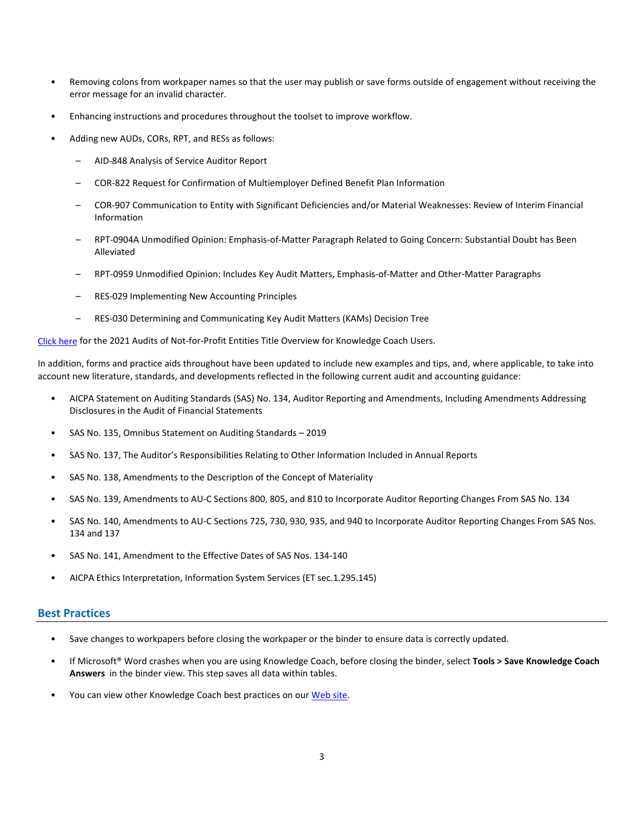- Removing colons from workpaper names so that the user may publish or save forms outside of engagement without receiving the error message for an invalid character.
- Enhancing instructions and procedures throughout the toolset to improve workflow.
- Adding new AUDs, CORs, RPT, and RESs as follows:
	- AID-848 Analysis of Service Auditor Report
	- COR-822 Request for Confirmation of Multiemployer Defined Benefit Plan Information
	- COR-907 Communication to Entity with Significant Deficiencies and/or Material Weaknesses: Review of Interim Financial Information
	- RPT-0904A Unmodified Opinion: Emphasis-of-Matter Paragraph Related to Going Concern: Substantial Doubt has Been Alleviated
	- RPT-0959 Unmodified Opinion: Includes Key Audit Matters, Emphasis-of-Matter and Other-Matter Paragraphs
	- RES-029 Implementing New Accounting Principles
	- RES-030 Determining and Communicating Key Audit Matters (KAMs) Decision Tree

[Click here](http://support.cch.com/updates/KnowledgeCoach/pdf/guides_tab/2021%20Not-For-Profit%20Entities%20Audits%20Title%20Overview%20for%20Knowledge%20Coach%20Users.pdf) for the 2021 Audits of Not-for-Profit Entities Title Overview for Knowledge Coach Users.

In addition, forms and practice aids throughout have been updated to include new examples and tips, and, where applicable, to take into account new literature, standards, and developments reflected in the following current audit and accounting guidance:

- AICPA Statement on Auditing Standards (SAS) No. 134, Auditor Reporting and Amendments, Including Amendments Addressing Disclosures in the Audit of Financial Statements
- SAS No. 135, Omnibus Statement on Auditing Standards 2019
- SAS No. 137, The Auditor's Responsibilities Relating to Other Information Included in Annual Reports
- SAS No. 138, Amendments to the Description of the Concept of Materiality
- SAS No. 139, Amendments to AU-C Sections 800, 805, and 810 to Incorporate Auditor Reporting Changes From SAS No. 134
- SAS No. 140, Amendments to AU-C Sections 725, 730, 930, 935, and 940 to Incorporate Auditor Reporting Changes From SAS Nos. 134 and 137
- SAS No. 141, Amendment to the Effective Dates of SAS Nos. 134-140
- AICPA Ethics Interpretation, Information System Services (ET sec.1.295.145)

#### **Best Practices**

- Save changes to workpapers before closing the workpaper or the binder to ensure data is correctly updated.
- If Microsoft® Word crashes when you are using Knowledge Coach, before closing the binder, select **Tools > Save Knowledge Coach Answers** in the binder view. This step saves all data within tables.
- You can view other Knowledge Coach best practices on ou[r Web](https://support.cch.com/kb/solution/000034942/sw34947) site.